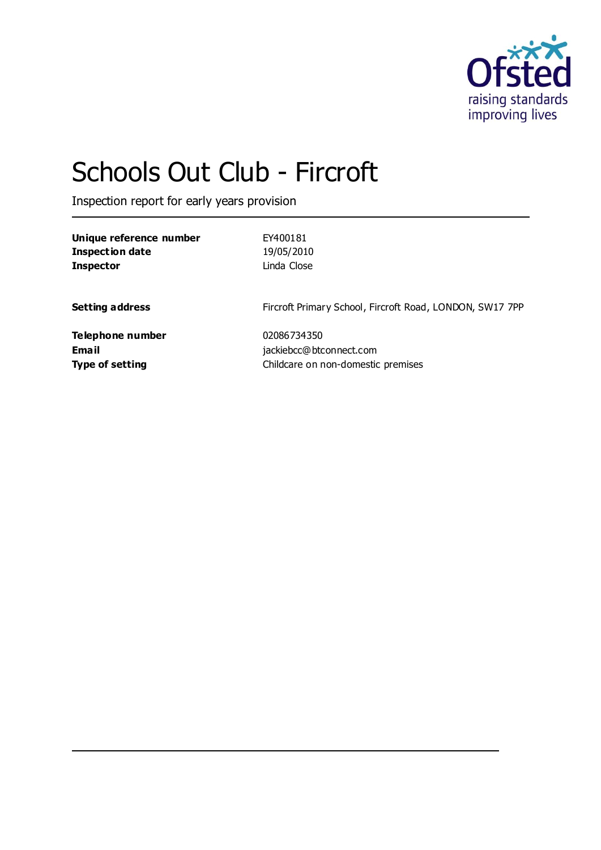

# Schools Out Club - Fircroft

Inspection report for early years provision

| Unique reference number<br><b>Inspection date</b><br><b>Inspector</b> | EY400181<br>19/05/2010<br>Linda Close                    |
|-----------------------------------------------------------------------|----------------------------------------------------------|
| <b>Setting address</b>                                                | Fircroft Primary School, Fircroft Road, LONDON, SW17 7PP |
| Telephone number                                                      | 02086734350                                              |
| <b>Email</b>                                                          | jackiebcc@btconnect.com                                  |
| <b>Type of setting</b>                                                | Childcare on non-domestic premises                       |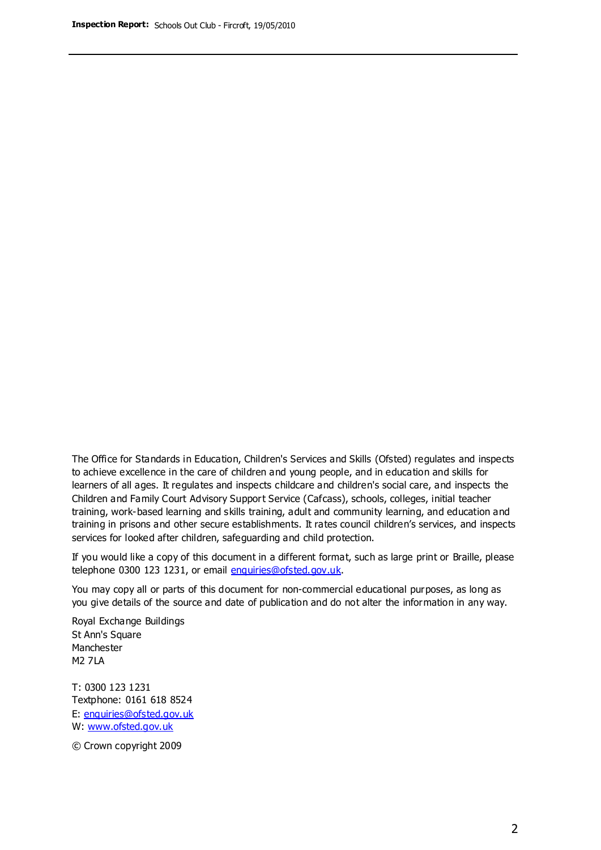The Office for Standards in Education, Children's Services and Skills (Ofsted) regulates and inspects to achieve excellence in the care of children and young people, and in education and skills for learners of all ages. It regulates and inspects childcare and children's social care, and inspects the Children and Family Court Advisory Support Service (Cafcass), schools, colleges, initial teacher training, work-based learning and skills training, adult and community learning, and education and training in prisons and other secure establishments. It rates council children's services, and inspects services for looked after children, safeguarding and child protection.

If you would like a copy of this document in a different format, such as large print or Braille, please telephone 0300 123 1231, or email enquiries@ofsted.gov.uk.

You may copy all or parts of this document for non-commercial educational purposes, as long as you give details of the source and date of publication and do not alter the information in any way.

Royal Exchange Buildings St Ann's Square Manchester M2 7LA

T: 0300 123 1231 Textphone: 0161 618 8524 E: enquiries@ofsted.gov.uk W: [www.ofsted.gov.uk](http://www.ofsted.gov.uk/)

© Crown copyright 2009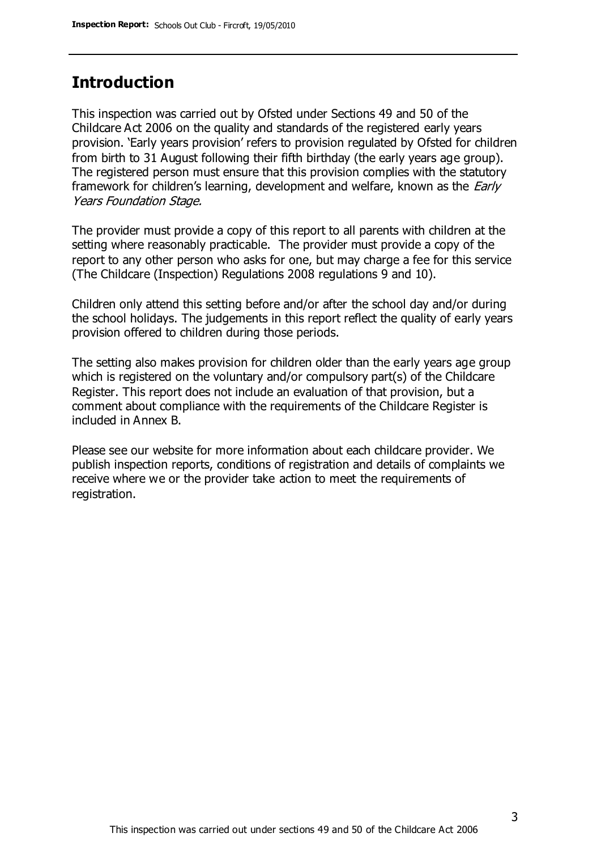## **Introduction**

This inspection was carried out by Ofsted under Sections 49 and 50 of the Childcare Act 2006 on the quality and standards of the registered early years provision. 'Early years provision' refers to provision regulated by Ofsted for children from birth to 31 August following their fifth birthday (the early years age group). The registered person must ensure that this provision complies with the statutory framework for children's learning, development and welfare, known as the *Early* Years Foundation Stage.

The provider must provide a copy of this report to all parents with children at the setting where reasonably practicable. The provider must provide a copy of the report to any other person who asks for one, but may charge a fee for this service (The Childcare (Inspection) Regulations 2008 regulations 9 and 10).

Children only attend this setting before and/or after the school day and/or during the school holidays. The judgements in this report reflect the quality of early years provision offered to children during those periods.

The setting also makes provision for children older than the early years age group which is registered on the voluntary and/or compulsory part(s) of the Childcare Register. This report does not include an evaluation of that provision, but a comment about compliance with the requirements of the Childcare Register is included in Annex B.

Please see our website for more information about each childcare provider. We publish inspection reports, conditions of registration and details of complaints we receive where we or the provider take action to meet the requirements of registration.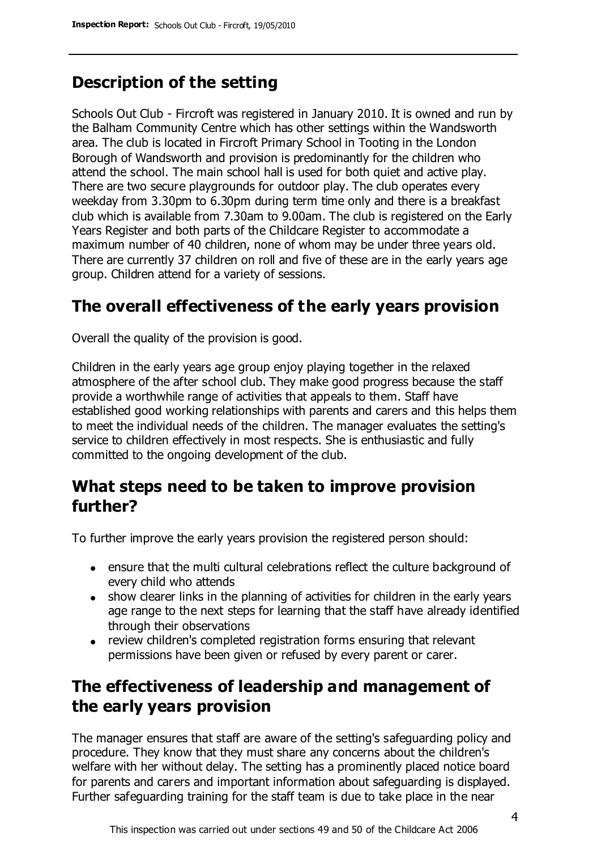# **Description of the setting**

Schools Out Club - Fircroft was registered in January 2010. It is owned and run by the Balham Community Centre which has other settings within the Wandsworth area. The club is located in Fircroft Primary School in Tooting in the London Borough of Wandsworth and provision is predominantly for the children who attend the school. The main school hall is used for both quiet and active play. There are two secure playgrounds for outdoor play. The club operates every weekday from 3.30pm to 6.30pm during term time only and there is a breakfast club which is available from 7.30am to 9.00am. The club is registered on the Early Years Register and both parts of the Childcare Register to accommodate a maximum number of 40 children, none of whom may be under three years old. There are currently 37 children on roll and five of these are in the early years age group. Children attend for a variety of sessions.

## **The overall effectiveness of the early years provision**

Overall the quality of the provision is good.

Children in the early years age group enjoy playing together in the relaxed atmosphere of the after school club. They make good progress because the staff provide a worthwhile range of activities that appeals to them. Staff have established good working relationships with parents and carers and this helps them to meet the individual needs of the children. The manager evaluates the setting's service to children effectively in most respects. She is enthusiastic and fully committed to the ongoing development of the club.

## **What steps need to be taken to improve provision further?**

To further improve the early years provision the registered person should:

- ensure that the multi cultural celebrations reflect the culture background of every child who attends
- show clearer links in the planning of activities for children in the early years age range to the next steps for learning that the staff have already identified through their observations
- review children's completed registration forms ensuring that relevant permissions have been given or refused by every parent or carer.

# **The effectiveness of leadership and management of the early years provision**

The manager ensures that staff are aware of the setting's safeguarding policy and procedure. They know that they must share any concerns about the children's welfare with her without delay. The setting has a prominently placed notice board for parents and carers and important information about safeguarding is displayed. Further safeguarding training for the staff team is due to take place in the near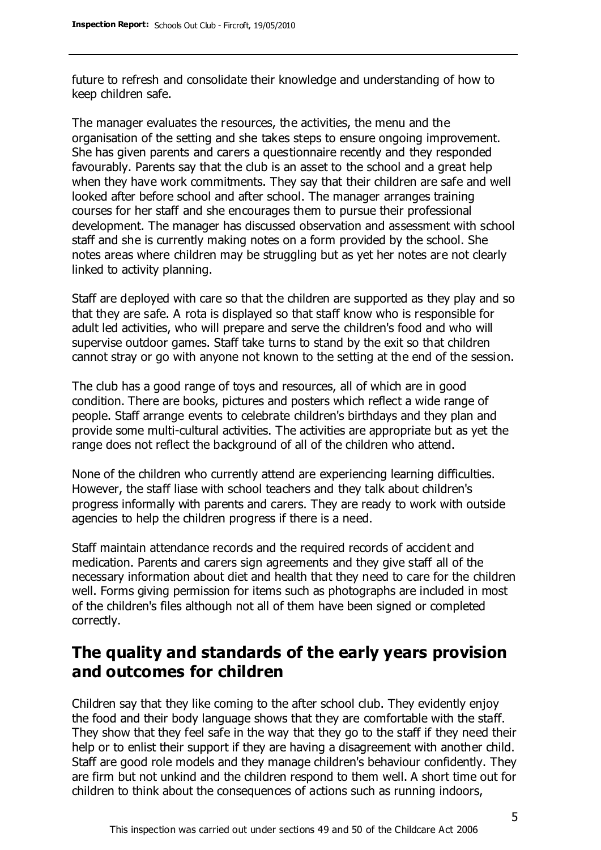future to refresh and consolidate their knowledge and understanding of how to keep children safe.

The manager evaluates the resources, the activities, the menu and the organisation of the setting and she takes steps to ensure ongoing improvement. She has given parents and carers a questionnaire recently and they responded favourably. Parents say that the club is an asset to the school and a great help when they have work commitments. They say that their children are safe and well looked after before school and after school. The manager arranges training courses for her staff and she encourages them to pursue their professional development. The manager has discussed observation and assessment with school staff and she is currently making notes on a form provided by the school. She notes areas where children may be struggling but as yet her notes are not clearly linked to activity planning.

Staff are deployed with care so that the children are supported as they play and so that they are safe. A rota is displayed so that staff know who is responsible for adult led activities, who will prepare and serve the children's food and who will supervise outdoor games. Staff take turns to stand by the exit so that children cannot stray or go with anyone not known to the setting at the end of the session.

The club has a good range of toys and resources, all of which are in good condition. There are books, pictures and posters which reflect a wide range of people. Staff arrange events to celebrate children's birthdays and they plan and provide some multi-cultural activities. The activities are appropriate but as yet the range does not reflect the background of all of the children who attend.

None of the children who currently attend are experiencing learning difficulties. However, the staff liase with school teachers and they talk about children's progress informally with parents and carers. They are ready to work with outside agencies to help the children progress if there is a need.

Staff maintain attendance records and the required records of accident and medication. Parents and carers sign agreements and they give staff all of the necessary information about diet and health that they need to care for the children well. Forms giving permission for items such as photographs are included in most of the children's files although not all of them have been signed or completed correctly.

## **The quality and standards of the early years provision and outcomes for children**

Children say that they like coming to the after school club. They evidently enjoy the food and their body language shows that they are comfortable with the staff. They show that they feel safe in the way that they go to the staff if they need their help or to enlist their support if they are having a disagreement with another child. Staff are good role models and they manage children's behaviour confidently. They are firm but not unkind and the children respond to them well. A short time out for children to think about the consequences of actions such as running indoors,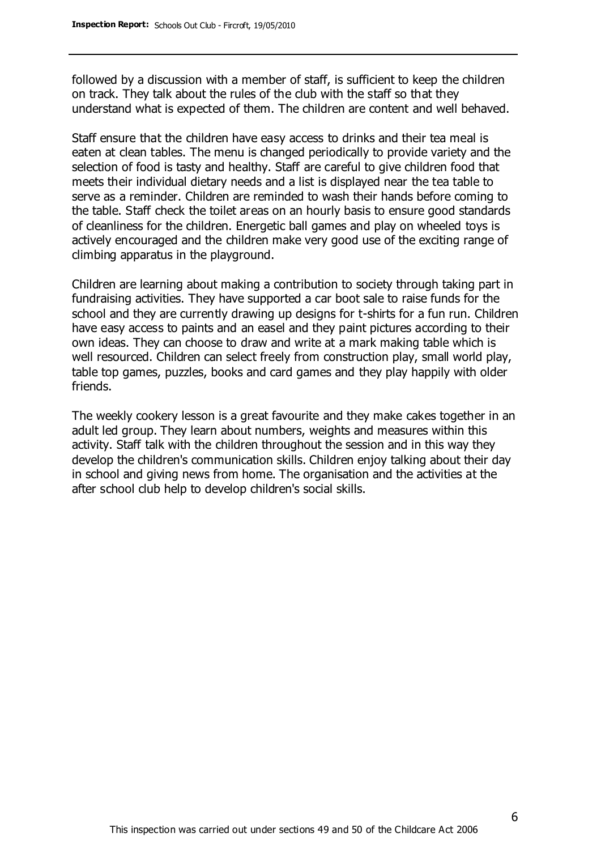followed by a discussion with a member of staff, is sufficient to keep the children on track. They talk about the rules of the club with the staff so that they understand what is expected of them. The children are content and well behaved.

Staff ensure that the children have easy access to drinks and their tea meal is eaten at clean tables. The menu is changed periodically to provide variety and the selection of food is tasty and healthy. Staff are careful to give children food that meets their individual dietary needs and a list is displayed near the tea table to serve as a reminder. Children are reminded to wash their hands before coming to the table. Staff check the toilet areas on an hourly basis to ensure good standards of cleanliness for the children. Energetic ball games and play on wheeled toys is actively encouraged and the children make very good use of the exciting range of climbing apparatus in the playground.

Children are learning about making a contribution to society through taking part in fundraising activities. They have supported a car boot sale to raise funds for the school and they are currently drawing up designs for t-shirts for a fun run. Children have easy access to paints and an easel and they paint pictures according to their own ideas. They can choose to draw and write at a mark making table which is well resourced. Children can select freely from construction play, small world play, table top games, puzzles, books and card games and they play happily with older friends.

The weekly cookery lesson is a great favourite and they make cakes together in an adult led group. They learn about numbers, weights and measures within this activity. Staff talk with the children throughout the session and in this way they develop the children's communication skills. Children enjoy talking about their day in school and giving news from home. The organisation and the activities at the after school club help to develop children's social skills.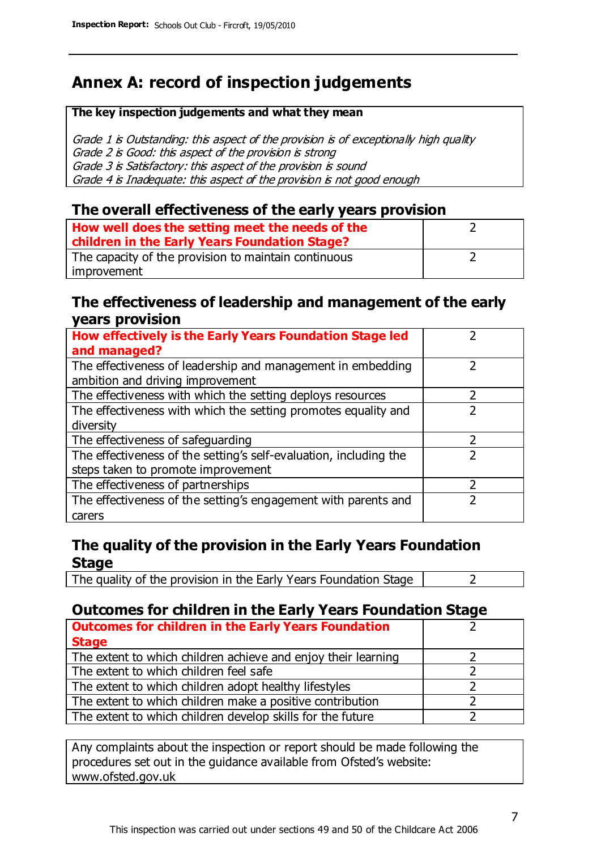# **Annex A: record of inspection judgements**

#### **The key inspection judgements and what they mean**

Grade 1 is Outstanding: this aspect of the provision is of exceptionally high quality Grade 2 is Good: this aspect of the provision is strong Grade 3 is Satisfactory: this aspect of the provision is sound Grade 4 is Inadequate: this aspect of the provision is not good enough

#### **The overall effectiveness of the early years provision**

| How well does the setting meet the needs of the      |  |
|------------------------------------------------------|--|
| children in the Early Years Foundation Stage?        |  |
| The capacity of the provision to maintain continuous |  |
| improvement                                          |  |

#### **The effectiveness of leadership and management of the early years provision**

| How effectively is the Early Years Foundation Stage led                                         |   |
|-------------------------------------------------------------------------------------------------|---|
| and managed?                                                                                    |   |
| The effectiveness of leadership and management in embedding<br>ambition and driving improvement |   |
| The effectiveness with which the setting deploys resources                                      |   |
| The effectiveness with which the setting promotes equality and                                  |   |
| diversity                                                                                       |   |
| The effectiveness of safeguarding                                                               | フ |
| The effectiveness of the setting's self-evaluation, including the                               |   |
| steps taken to promote improvement                                                              |   |
| The effectiveness of partnerships                                                               |   |
| The effectiveness of the setting's engagement with parents and                                  |   |
| carers                                                                                          |   |

### **The quality of the provision in the Early Years Foundation Stage**

The quality of the provision in the Early Years Foundation Stage  $\vert$  2

## **Outcomes for children in the Early Years Foundation Stage**

| <b>Outcomes for children in the Early Years Foundation</b>    |  |
|---------------------------------------------------------------|--|
| <b>Stage</b>                                                  |  |
| The extent to which children achieve and enjoy their learning |  |
| The extent to which children feel safe                        |  |
| The extent to which children adopt healthy lifestyles         |  |
| The extent to which children make a positive contribution     |  |
| The extent to which children develop skills for the future    |  |

Any complaints about the inspection or report should be made following the procedures set out in the guidance available from Ofsted's website: www.ofsted.gov.uk